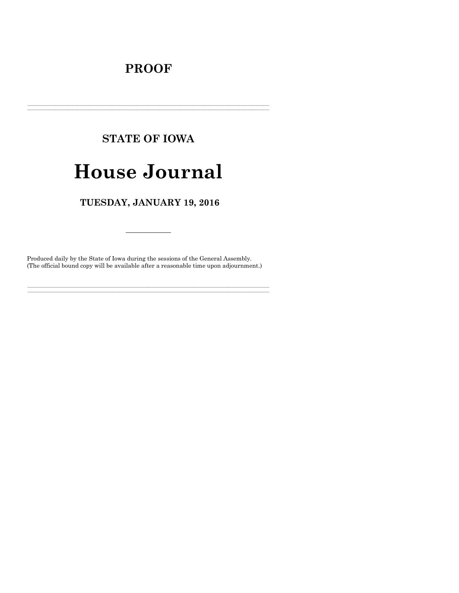# **PROOF**

# **STATE OF IOWA**

# **House Journal**

# TUESDAY, JANUARY 19, 2016

Produced daily by the State of Iowa during the sessions of the General Assembly. (The official bound copy will be available after a reasonable time upon adjournment.)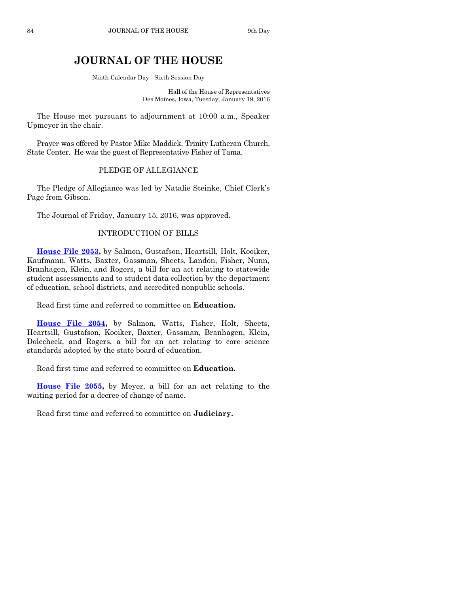# **JOURNAL OF THE HOUSE**

Ninth Calendar Day - Sixth Session Day

Hall of the House of Representatives Des Moines, Iowa, Tuesday, January 19, 2016

The House met pursuant to adjournment at 10:00 a.m., Speaker Upmeyer in the chair.

Prayer was offered by Pastor Mike Maddick, Trinity Lutheran Church, State Center. He was the guest of Representative Fisher of Tama.

#### PLEDGE OF ALLEGIANCE

The Pledge of Allegiance was led by Natalie Steinke, Chief Clerk's Page from Gibson.

The Journal of Friday, January 15, 2016, was approved.

#### INTRODUCTION OF BILLS

**[House File 2053,](http://coolice.legis.iowa.gov/Cool-ICE/default.asp?Category=billinfo&Service=Billbook&frame=1&GA=86&hbill=HF2053)** by Salmon, Gustafson, Heartsill, Holt, Kooiker, Kaufmann, Watts, Baxter, Gassman, Sheets, Landon, Fisher, Nunn, Branhagen, Klein, and Rogers, a bill for an act relating to statewide student assessments and to student data collection by the department of education, school districts, and accredited nonpublic schools.

Read first time and referred to committee on **Education.**

**[House File 2054,](http://coolice.legis.iowa.gov/Cool-ICE/default.asp?Category=billinfo&Service=Billbook&frame=1&GA=86&hbill=HF2054)** by Salmon, Watts, Fisher, Holt, Sheets, Heartsill, Gustafson, Kooiker, Baxter, Gassman, Branhagen, Klein, Dolecheck, and Rogers, a bill for an act relating to core science standards adopted by the state board of education.

Read first time and referred to committee on **Education.**

**[House File 2055,](http://coolice.legis.iowa.gov/Cool-ICE/default.asp?Category=billinfo&Service=Billbook&frame=1&GA=86&hbill=HF2055)** by Meyer, a bill for an act relating to the waiting period for a decree of change of name.

Read first time and referred to committee on **Judiciary.**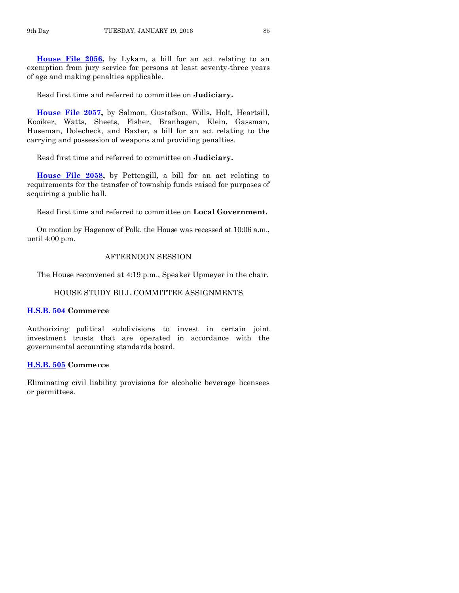**[House File 2056,](http://coolice.legis.iowa.gov/Cool-ICE/default.asp?Category=billinfo&Service=Billbook&frame=1&GA=86&hbill=HF2056)** by Lykam, a bill for an act relating to an exemption from jury service for persons at least seventy-three years of age and making penalties applicable.

Read first time and referred to committee on **Judiciary.**

**[House File 2057,](http://coolice.legis.iowa.gov/Cool-ICE/default.asp?Category=billinfo&Service=Billbook&frame=1&GA=86&hbill=HF2057)** by Salmon, Gustafson, Wills, Holt, Heartsill, Kooiker, Watts, Sheets, Fisher, Branhagen, Klein, Gassman, Huseman, Dolecheck, and Baxter, a bill for an act relating to the carrying and possession of weapons and providing penalties.

Read first time and referred to committee on **Judiciary.**

**[House File 2058,](http://coolice.legis.iowa.gov/Cool-ICE/default.asp?Category=billinfo&Service=Billbook&frame=1&GA=86&hbill=HF2058)** by Pettengill, a bill for an act relating to requirements for the transfer of township funds raised for purposes of acquiring a public hall.

Read first time and referred to committee on **Local Government.**

On motion by Hagenow of Polk, the House was recessed at 10:06 a.m., until 4:00 p.m.

#### AFTERNOON SESSION

The House reconvened at 4:19 p.m., Speaker Upmeyer in the chair.

#### HOUSE STUDY BILL COMMITTEE ASSIGNMENTS

#### **[H.S.B. 504](http://coolice.legis.iowa.gov/Cool-ICE/default.asp?Category=billinfo&Service=Billbook&frame=1&GA=86&hbill=HSB504) Commerce**

Authorizing political subdivisions to invest in certain joint investment trusts that are operated in accordance with the governmental accounting standards board.

#### **[H.S.B. 505](http://coolice.legis.iowa.gov/Cool-ICE/default.asp?Category=billinfo&Service=Billbook&frame=1&GA=86&hbill=HSB505) Commerce**

Eliminating civil liability provisions for alcoholic beverage licensees or permittees.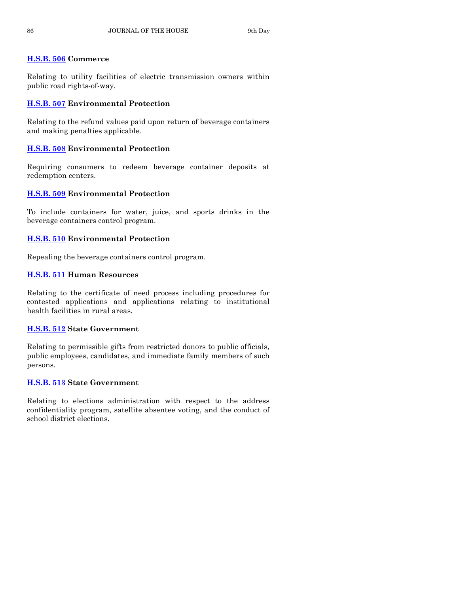# **[H.S.B. 506](http://coolice.legis.iowa.gov/Cool-ICE/default.asp?Category=billinfo&Service=Billbook&frame=1&GA=86&hbill=HSB506) Commerce**

Relating to utility facilities of electric transmission owners within public road rights-of-way.

# **[H.S.B. 507](http://coolice.legis.iowa.gov/Cool-ICE/default.asp?Category=billinfo&Service=Billbook&frame=1&GA=86&hbill=HSB507) Environmental Protection**

Relating to the refund values paid upon return of beverage containers and making penalties applicable.

# **[H.S.B. 508](http://coolice.legis.iowa.gov/Cool-ICE/default.asp?Category=billinfo&Service=Billbook&frame=1&GA=86&hbill=HSB508) Environmental Protection**

Requiring consumers to redeem beverage container deposits at redemption centers.

# **[H.S.B. 509](http://coolice.legis.iowa.gov/Cool-ICE/default.asp?Category=billinfo&Service=Billbook&frame=1&GA=86&hbill=HSB509) Environmental Protection**

To include containers for water, juice, and sports drinks in the beverage containers control program.

# **[H.S.B. 510](http://coolice.legis.iowa.gov/Cool-ICE/default.asp?Category=billinfo&Service=Billbook&frame=1&GA=86&hbill=HSB510) Environmental Protection**

Repealing the beverage containers control program.

# **[H.S.B. 511](http://coolice.legis.iowa.gov/Cool-ICE/default.asp?Category=billinfo&Service=Billbook&frame=1&GA=86&hbill=HSB511) Human Resources**

Relating to the certificate of need process including procedures for contested applications and applications relating to institutional health facilities in rural areas.

# **[H.S.B. 512](http://coolice.legis.iowa.gov/Cool-ICE/default.asp?Category=billinfo&Service=Billbook&frame=1&GA=86&hbill=HSB512) State Government**

Relating to permissible gifts from restricted donors to public officials, public employees, candidates, and immediate family members of such persons.

# **[H.S.B. 513](http://coolice.legis.iowa.gov/Cool-ICE/default.asp?Category=billinfo&Service=Billbook&frame=1&GA=86&hbill=HSB513) State Government**

Relating to elections administration with respect to the address confidentiality program, satellite absentee voting, and the conduct of school district elections.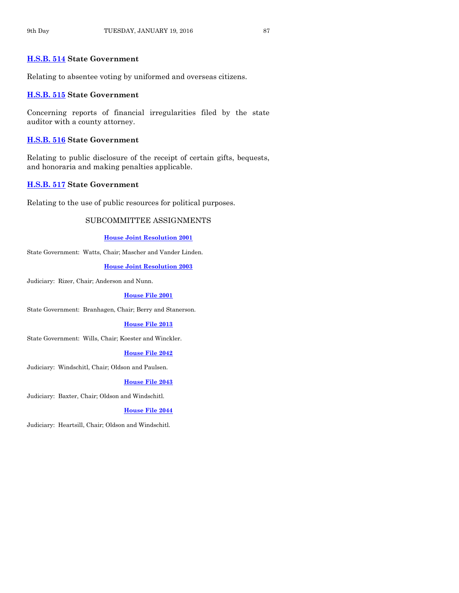#### **[H.S.B. 514](http://coolice.legis.iowa.gov/Cool-ICE/default.asp?Category=billinfo&Service=Billbook&frame=1&GA=86&hbill=HSB514) State Government**

Relating to absentee voting by uniformed and overseas citizens.

#### **[H.S.B. 515](http://coolice.legis.iowa.gov/Cool-ICE/default.asp?Category=billinfo&Service=Billbook&frame=1&GA=86&hbill=HSB515) State Government**

Concerning reports of financial irregularities filed by the state auditor with a county attorney.

#### **[H.S.B. 516](http://coolice.legis.iowa.gov/Cool-ICE/default.asp?Category=billinfo&Service=Billbook&frame=1&GA=86&hbill=HSB516) State Government**

Relating to public disclosure of the receipt of certain gifts, bequests, and honoraria and making penalties applicable.

### **[H.S.B. 517](http://coolice.legis.iowa.gov/Cool-ICE/default.asp?Category=billinfo&Service=Billbook&frame=1&GA=86&hbill=HSB517) State Government**

Relating to the use of public resources for political purposes.

#### SUBCOMMITTEE ASSIGNMENTS

**[House Joint Resolution 2001](http://coolice.legis.iowa.gov/Cool-ICE/default.asp?Category=billinfo&Service=Billbook&frame=1&GA=86&hbill=HJR2001)**

State Government: Watts, Chair; Mascher and Vander Linden.

**[House Joint Resolution 2003](http://coolice.legis.iowa.gov/Cool-ICE/default.asp?Category=billinfo&Service=Billbook&frame=1&GA=86&hbill=HJR2003)**

Judiciary: Rizer, Chair; Anderson and Nunn.

#### **[House File 2001](http://coolice.legis.iowa.gov/Cool-ICE/default.asp?Category=billinfo&Service=Billbook&frame=1&GA=86&hbill=HF2001)**

State Government: Branhagen, Chair; Berry and Stanerson.

#### **[House File 2013](http://coolice.legis.iowa.gov/Cool-ICE/default.asp?Category=billinfo&Service=Billbook&frame=1&GA=86&hbill=HF2013)**

State Government: Wills, Chair; Koester and Winckler.

#### **[House File 2042](http://coolice.legis.iowa.gov/Cool-ICE/default.asp?Category=billinfo&Service=Billbook&frame=1&GA=86&hbill=HF2042)**

Judiciary: Windschitl, Chair; Oldson and Paulsen.

#### **[House File 2043](http://coolice.legis.iowa.gov/Cool-ICE/default.asp?Category=billinfo&Service=Billbook&frame=1&GA=86&hbill=HF2043)**

Judiciary: Baxter, Chair; Oldson and Windschitl.

#### **[House File 2044](http://coolice.legis.iowa.gov/Cool-ICE/default.asp?Category=billinfo&Service=Billbook&frame=1&GA=86&hbill=HF2044)**

Judiciary: Heartsill, Chair; Oldson and Windschitl.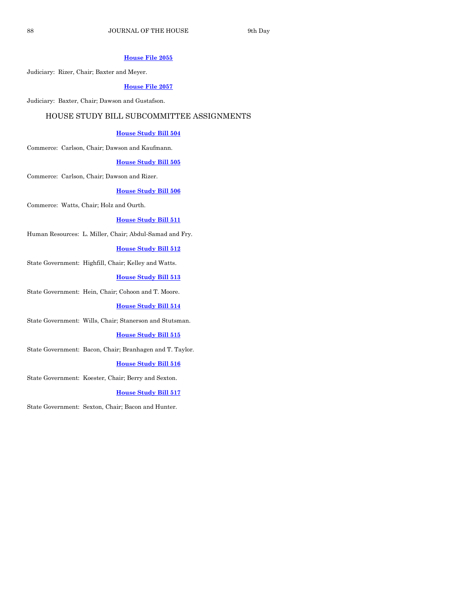## **[House File 2055](http://coolice.legis.iowa.gov/Cool-ICE/default.asp?Category=billinfo&Service=Billbook&frame=1&GA=86&hbill=HF2055)**

Judiciary: Rizer, Chair; Baxter and Meyer.

#### **[House File 2057](http://coolice.legis.iowa.gov/Cool-ICE/default.asp?Category=billinfo&Service=Billbook&frame=1&GA=86&hbill=HF2057)**

Judiciary: Baxter, Chair; Dawson and Gustafson.

### HOUSE STUDY BILL SUBCOMMITTEE ASSIGNMENTS

#### **[House Study Bill 504](http://coolice.legis.iowa.gov/Cool-ICE/default.asp?Category=billinfo&Service=Billbook&frame=1&GA=86&hbill=HSB504)**

Commerce: Carlson, Chair; Dawson and Kaufmann.

#### **[House Study Bill 505](http://coolice.legis.iowa.gov/Cool-ICE/default.asp?Category=billinfo&Service=Billbook&frame=1&GA=86&hbill=HSB505)**

Commerce: Carlson, Chair; Dawson and Rizer.

#### **[House Study Bill 506](http://coolice.legis.iowa.gov/Cool-ICE/default.asp?Category=billinfo&Service=Billbook&frame=1&GA=86&hbill=HSB506)**

Commerce: Watts, Chair; Holz and Ourth.

#### **[House Study Bill 511](http://coolice.legis.iowa.gov/Cool-ICE/default.asp?Category=billinfo&Service=Billbook&frame=1&GA=86&hbill=HSB511)**

Human Resources: L. Miller, Chair; Abdul-Samad and Fry.

#### **[House Study Bill 512](http://coolice.legis.iowa.gov/Cool-ICE/default.asp?Category=billinfo&Service=Billbook&frame=1&GA=86&hbill=HSB512)**

State Government: Highfill, Chair; Kelley and Watts.

#### **[House Study Bill 513](http://coolice.legis.iowa.gov/Cool-ICE/default.asp?Category=billinfo&Service=Billbook&frame=1&GA=86&hbill=HSB513)**

State Government: Hein, Chair; Cohoon and T. Moore.

#### **[House Study Bill 514](http://coolice.legis.iowa.gov/Cool-ICE/default.asp?Category=billinfo&Service=Billbook&frame=1&GA=86&hbill=HSB514)**

State Government: Wills, Chair; Stanerson and Stutsman.

#### **[House Study Bill 515](http://coolice.legis.iowa.gov/Cool-ICE/default.asp?Category=billinfo&Service=Billbook&frame=1&GA=86&hbill=HSB515)**

State Government: Bacon, Chair; Branhagen and T. Taylor.

#### **[House Study Bill 516](http://coolice.legis.iowa.gov/Cool-ICE/default.asp?Category=billinfo&Service=Billbook&frame=1&GA=86&hbill=HSB516)**

State Government: Koester, Chair; Berry and Sexton.

#### **[House Study Bill 517](http://coolice.legis.iowa.gov/Cool-ICE/default.asp?Category=billinfo&Service=Billbook&frame=1&GA=86&hbill=HSB517)**

State Government: Sexton, Chair; Bacon and Hunter.